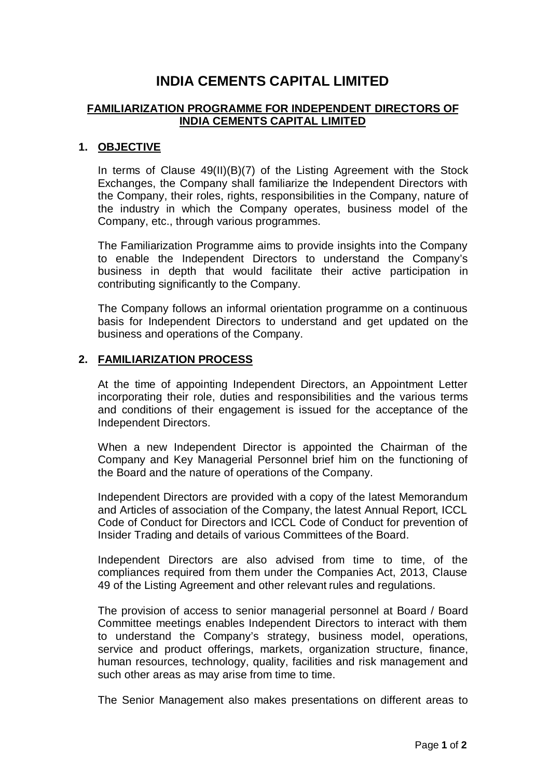# **INDIA CEMENTS CAPITAL LIMITED**

### **FAMILIARIZATION PROGRAMME FOR INDEPENDENT DIRECTORS OF INDIA CEMENTS CAPITAL LIMITED**

#### **1. OBJECTIVE**

In terms of Clause 49(II)(B)(7) of the Listing Agreement with the Stock Exchanges, the Company shall familiarize the Independent Directors with the Company, their roles, rights, responsibilities in the Company, nature of the industry in which the Company operates, business model of the Company, etc., through various programmes.

The Familiarization Programme aims to provide insights into the Company to enable the Independent Directors to understand the Company's business in depth that would facilitate their active participation in contributing significantly to the Company.

The Company follows an informal orientation programme on a continuous basis for Independent Directors to understand and get updated on the business and operations of the Company.

#### **2. FAMILIARIZATION PROCESS**

At the time of appointing Independent Directors, an Appointment Letter incorporating their role, duties and responsibilities and the various terms and conditions of their engagement is issued for the acceptance of the Independent Directors.

When a new Independent Director is appointed the Chairman of the Company and Key Managerial Personnel brief him on the functioning of the Board and the nature of operations of the Company.

Independent Directors are provided with a copy of the latest Memorandum and Articles of association of the Company, the latest Annual Report, ICCL Code of Conduct for Directors and ICCL Code of Conduct for prevention of Insider Trading and details of various Committees of the Board.

Independent Directors are also advised from time to time, of the compliances required from them under the Companies Act, 2013, Clause 49 of the Listing Agreement and other relevant rules and regulations.

The provision of access to senior managerial personnel at Board / Board Committee meetings enables Independent Directors to interact with them to understand the Company's strategy, business model, operations, service and product offerings, markets, organization structure, finance, human resources, technology, quality, facilities and risk management and such other areas as may arise from time to time.

The Senior Management also makes presentations on different areas to